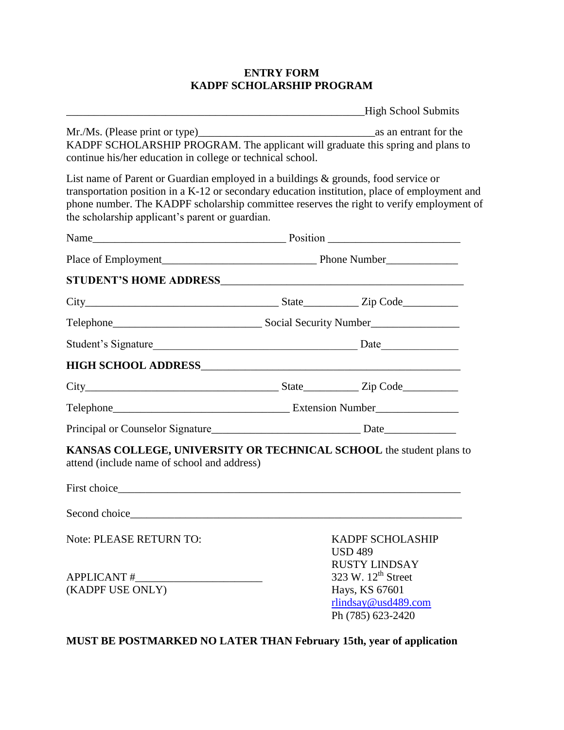#### **ENTRY FORM KADPF SCHOLARSHIP PROGRAM**

\_\_\_\_\_\_\_\_\_\_\_\_\_\_\_\_\_\_\_\_\_\_\_\_\_\_\_\_\_\_\_\_\_\_\_\_\_\_\_\_\_\_\_\_\_\_\_\_\_\_\_\_\_\_High School Submits

Mr./Ms. (Please print or type)\_\_\_\_\_\_\_\_\_\_\_\_\_\_\_\_\_\_\_\_\_\_\_\_\_\_\_\_\_\_\_\_as an entrant for the KADPF SCHOLARSHIP PROGRAM. The applicant will graduate this spring and plans to continue his/her education in college or technical school.

List name of Parent or Guardian employed in a buildings & grounds, food service or transportation position in a K-12 or secondary education institution, place of employment and phone number. The KADPF scholarship committee reserves the right to verify employment of the scholarship applicant's parent or guardian.

| KANSAS COLLEGE, UNIVERSITY OR TECHNICAL SCHOOL the student plans to<br>attend (include name of school and address) |  |                                                                                              |
|--------------------------------------------------------------------------------------------------------------------|--|----------------------------------------------------------------------------------------------|
|                                                                                                                    |  |                                                                                              |
|                                                                                                                    |  |                                                                                              |
| Note: PLEASE RETURN TO:                                                                                            |  | <b>KADPF SCHOLASHIP</b><br><b>USD 489</b><br><b>RUSTY LINDSAY</b><br>323 W. $12^{th}$ Street |
| (KADPF USE ONLY)                                                                                                   |  | Hays, KS 67601<br>rlindsay@usd489.com<br>Ph (785) 623-2420                                   |

**MUST BE POSTMARKED NO LATER THAN February 15th, year of application**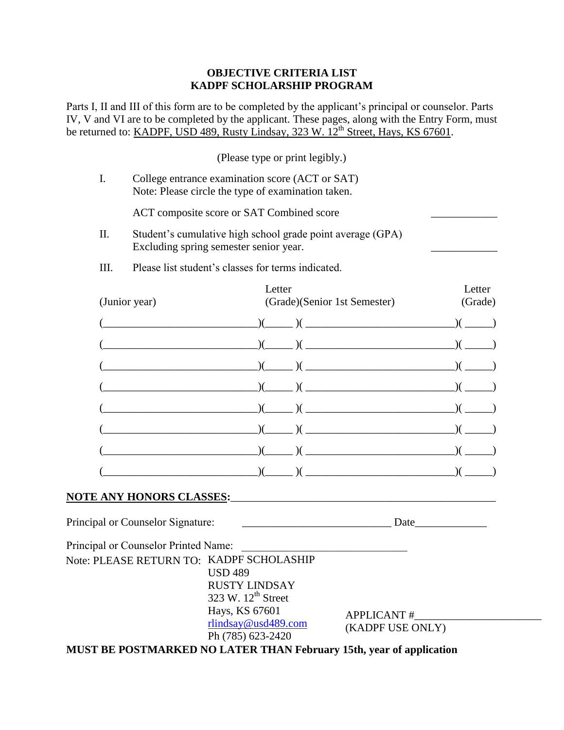#### **OBJECTIVE CRITERIA LIST KADPF SCHOLARSHIP PROGRAM**

Parts I, II and III of this form are to be completed by the applicant's principal or counselor. Parts IV, V and VI are to be completed by the applicant. These pages, along with the Entry Form, must be returned to: KADPF, USD 489, Rusty Lindsay, 323 W.  $12^{th}$  Street, Hays, KS 67601.

(Please type or print legibly.)

I. College entrance examination score (ACT or SAT) Note: Please circle the type of examination taken.

ACT composite score or SAT Combined score

- II. Student's cumulative high school grade point average (GPA) Excluding spring semester senior year.
- Letter Letter **Letter** (Junior year) (Grade)(Senior 1st Semester) (Grade)  $(\_$  $(\_\_)(\_\_)(\_\_)(\_\_)(\_\_)(\_\_)(\_\_)(\_\_)(\_\_))$ (\_\_\_\_\_\_\_\_\_\_\_\_\_\_\_\_\_\_\_\_\_\_\_\_\_\_\_\_)(\_\_\_\_\_ )( \_\_\_\_\_\_\_\_\_\_\_\_\_\_\_\_\_\_\_\_\_\_\_\_\_\_\_)( \_\_\_\_\_)  $)(\quad)$  (  $($  )( )(  $)$   $($   $)$   $($   $)$   $($   $)$ (\_\_\_\_\_\_\_\_\_\_\_\_\_\_\_\_\_\_\_\_\_\_\_\_\_\_\_\_)(\_\_\_\_\_ )( \_\_\_\_\_\_\_\_\_\_\_\_\_\_\_\_\_\_\_\_\_\_\_\_\_\_\_)( \_\_\_\_\_) (\_\_\_\_\_\_\_\_\_\_\_\_\_\_\_\_\_\_\_\_\_\_\_\_\_\_\_\_)(\_\_\_\_\_ )( \_\_\_\_\_\_\_\_\_\_\_\_\_\_\_\_\_\_\_\_\_\_\_\_\_\_\_)( \_\_\_\_\_)  $(\_\_\_\_\_\_)(\_\_\_\_)(\_\_\_)(\_\_\_$ **NOTE ANY HONORS CLASSES:**\_\_\_\_\_\_\_\_\_\_\_\_\_\_\_\_\_\_\_\_\_\_\_\_\_\_\_\_\_\_\_\_\_\_\_\_\_\_\_\_\_\_\_\_\_\_\_\_ Principal or Counselor Signature: \_\_\_\_\_\_\_\_\_\_\_\_\_\_\_\_\_\_\_\_\_\_\_\_\_\_\_ Date\_\_\_\_\_\_\_\_\_\_\_\_\_ Note: PLEASE RETURN TO: KADPF SCHOLASHIP USD 489 RUSTY LINDSAY AP[PLICANT #\\_\\_\\_\\_\\_\\_\\_\\_\\_\\_](mailto:rlindsay@usd489.com)\_\_\_\_\_\_\_\_\_\_\_\_\_  $323$  W.  $12^{\text{th}}$  Street (KADPF USE ONLY) Hays, KS 67601 rlindsay@usd489.com Ph (785) 623-2420 Principal or Counselor Printed Name:
- III. Please list student's classes for terms indicated.

**MUST BE POSTMARKED NO LATER THAN February 15th, year of application**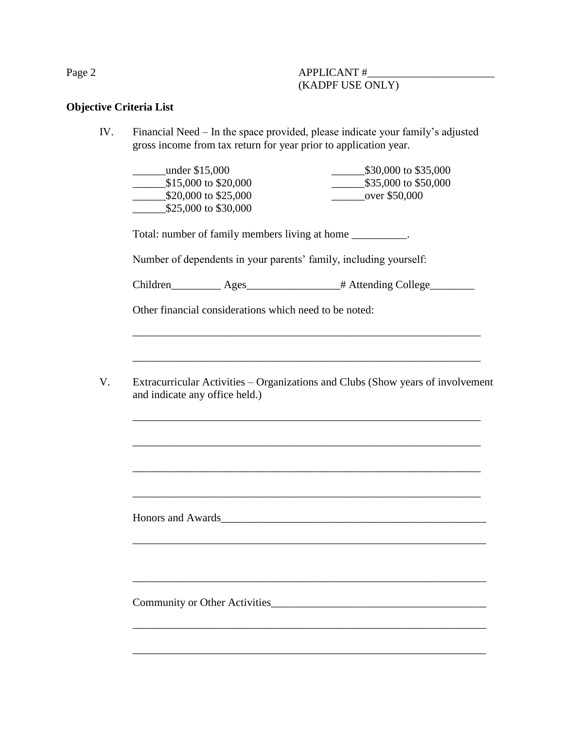# Page 2 APPLICANT # (KADPF USE ONLY)

## **Objective Criteria List**

IV. Financial Need – In the space provided, please indicate your family's adjusted gross income from tax return for year prior to application year.

\_\_\_\_\_\_under \$15,000 \_\_\_\_\_\_\$30,000 to \$35,000  $$15,000 \text{ to } $20,000$   $$35,000 \text{ to } $50,000$ \_\_\_\_\_\_\$20,000 to \$25,000 \_\_\_\_\_\_over \$50,000 \$25,000 to \$30,000 Total: number of family members living at home \_\_\_\_\_\_\_\_\_. Number of dependents in your parents' family, including yourself: Children\_\_\_\_\_\_\_\_\_\_ Ages\_\_\_\_\_\_\_\_\_\_\_\_\_\_\_\_\_# Attending College\_\_\_\_\_\_\_\_\_\_\_\_\_\_\_\_\_\_\_\_\_ Other financial considerations which need to be noted: \_\_\_\_\_\_\_\_\_\_\_\_\_\_\_\_\_\_\_\_\_\_\_\_\_\_\_\_\_\_\_\_\_\_\_\_\_\_\_\_\_\_\_\_\_\_\_\_\_\_\_\_\_\_\_\_\_\_\_\_\_\_\_ \_\_\_\_\_\_\_\_\_\_\_\_\_\_\_\_\_\_\_\_\_\_\_\_\_\_\_\_\_\_\_\_\_\_\_\_\_\_\_\_\_\_\_\_\_\_\_\_\_\_\_\_\_\_\_\_\_\_\_\_\_\_\_ V. Extracurricular Activities – Organizations and Clubs (Show years of involvement and indicate any office held.) \_\_\_\_\_\_\_\_\_\_\_\_\_\_\_\_\_\_\_\_\_\_\_\_\_\_\_\_\_\_\_\_\_\_\_\_\_\_\_\_\_\_\_\_\_\_\_\_\_\_\_\_\_\_\_\_\_\_\_\_\_\_\_ \_\_\_\_\_\_\_\_\_\_\_\_\_\_\_\_\_\_\_\_\_\_\_\_\_\_\_\_\_\_\_\_\_\_\_\_\_\_\_\_\_\_\_\_\_\_\_\_\_\_\_\_\_\_\_\_\_\_\_\_\_\_\_ \_\_\_\_\_\_\_\_\_\_\_\_\_\_\_\_\_\_\_\_\_\_\_\_\_\_\_\_\_\_\_\_\_\_\_\_\_\_\_\_\_\_\_\_\_\_\_\_\_\_\_\_\_\_\_\_\_\_\_\_\_\_\_ Honors and Awards\_\_\_\_\_\_\_\_\_\_\_\_\_\_\_\_\_\_\_\_\_\_\_\_\_\_\_\_\_\_\_\_\_\_\_\_\_\_\_\_\_\_\_\_\_\_\_\_ \_\_\_\_\_\_\_\_\_\_\_\_\_\_\_\_\_\_\_\_\_\_\_\_\_\_\_\_\_\_\_\_\_\_\_\_\_\_\_\_\_\_\_\_\_\_\_\_\_\_\_\_\_\_\_\_\_\_\_\_\_\_\_\_

 $\mathcal{L}_\text{max} = \mathcal{L}_\text{max} = \frac{1}{2} \sum_{i=1}^n \frac{1}{2} \sum_{i=1}^n \frac{1}{2} \sum_{i=1}^n \frac{1}{2} \sum_{i=1}^n \frac{1}{2} \sum_{i=1}^n \frac{1}{2} \sum_{i=1}^n \frac{1}{2} \sum_{i=1}^n \frac{1}{2} \sum_{i=1}^n \frac{1}{2} \sum_{i=1}^n \frac{1}{2} \sum_{i=1}^n \frac{1}{2} \sum_{i=1}^n \frac{1}{2} \sum_{i=1}^n \frac{1$ 

\_\_\_\_\_\_\_\_\_\_\_\_\_\_\_\_\_\_\_\_\_\_\_\_\_\_\_\_\_\_\_\_\_\_\_\_\_\_\_\_\_\_\_\_\_\_\_\_\_\_\_\_\_\_\_\_\_\_\_\_\_\_\_\_

\_\_\_\_\_\_\_\_\_\_\_\_\_\_\_\_\_\_\_\_\_\_\_\_\_\_\_\_\_\_\_\_\_\_\_\_\_\_\_\_\_\_\_\_\_\_\_\_\_\_\_\_\_\_\_\_\_\_\_\_\_\_\_\_

Community or Other Activities\_\_\_\_\_\_\_\_\_\_\_\_\_\_\_\_\_\_\_\_\_\_\_\_\_\_\_\_\_\_\_\_\_\_\_\_\_\_\_